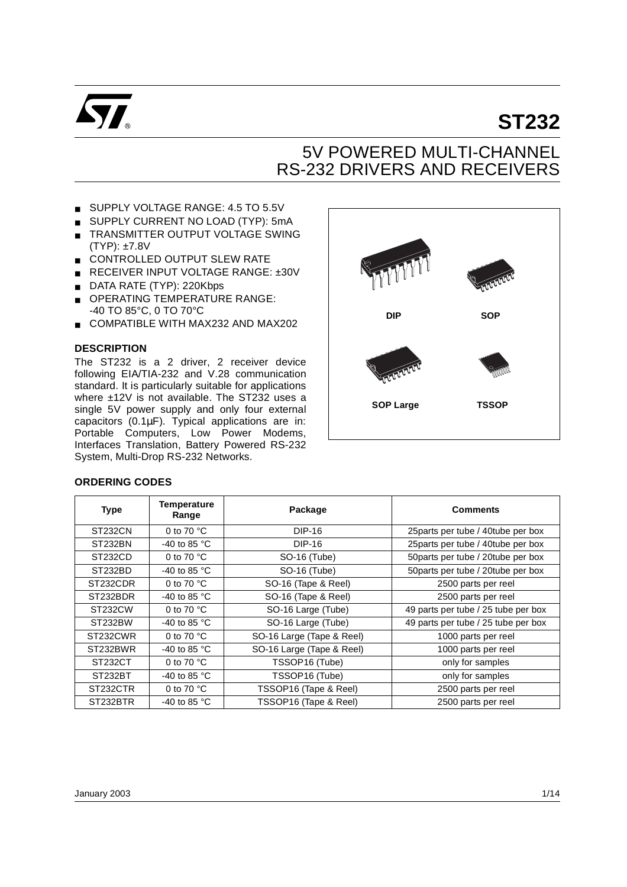

# **ST232**

# 5V POWERED MULTI-CHANNEL RS-232 DRIVERS AND RECEIVERS

- SUPPLY VOLTAGE RANGE: 4.5 TO 5.5V
- SUPPLY CURRENT NO LOAD (TYP): 5mA
- TRANSMITTER OUTPUT VOLTAGE SWING (TYP): ±7.8V
- CONTROLLED OUTPUT SLEW RATE
- RECEIVER INPUT VOLTAGE RANGE: ±30V
- DATA RATE (TYP): 220Kbps
- OPERATING TEMPERATURE RANGE: -40 TO 85°C, 0 TO 70°C
- COMPATIBLE WITH MAX232 AND MAX202

#### **DESCRIPTION**

The ST232 is a 2 driver, 2 receiver device following EIA/TIA-232 and V.28 communication standard. It is particularly suitable for applications where ±12V is not available. The ST232 uses a single 5V power supply and only four external capacitors  $(0.1\mu$ F). Typical applications are in: Portable Computers, Low Power Modems, Interfaces Translation, Battery Powered RS-232 System, Multi-Drop RS-232 Networks.



#### **ORDERING CODES**

| <b>Type</b>          | <b>Temperature</b><br>Range | Package                   | <b>Comments</b>                     |
|----------------------|-----------------------------|---------------------------|-------------------------------------|
| ST232CN              | 0 to 70 $^{\circ}$ C        | DIP-16                    | 25 parts per tube / 40 tube per box |
| ST232BN              | -40 to 85 °C                | DIP-16                    | 25 parts per tube / 40 tube per box |
| ST <sub>232</sub> CD | 0 to 70 $^{\circ}$ C        | SO-16 (Tube)              | 50 parts per tube / 20 tube per box |
| ST232BD              | -40 to 85 $^{\circ}$ C      | SO-16 (Tube)              | 50parts per tube / 20tube per box   |
| ST232CDR             | 0 to 70 $^{\circ}$ C        | SO-16 (Tape & Reel)       | 2500 parts per reel                 |
| ST232BDR             | -40 to 85 °C                | SO-16 (Tape & Reel)       | 2500 parts per reel                 |
| ST232CW              | 0 to 70 $\degree$ C         | SO-16 Large (Tube)        | 49 parts per tube / 25 tube per box |
| ST232BW              | -40 to 85 $^{\circ}$ C      | SO-16 Large (Tube)        | 49 parts per tube / 25 tube per box |
| ST232CWR             | 0 to 70 $^{\circ}$ C        | SO-16 Large (Tape & Reel) | 1000 parts per reel                 |
| ST232BWR             | -40 to 85 $^{\circ}$ C      | SO-16 Large (Tape & Reel) | 1000 parts per reel                 |
| ST232CT              | 0 to 70 $\degree$ C         | TSSOP16 (Tube)            | only for samples                    |
| ST232BT              | -40 to 85 $^{\circ}$ C      | TSSOP16 (Tube)            | only for samples                    |
| ST232CTR             | 0 to 70 $^{\circ}$ C        | TSSOP16 (Tape & Reel)     | 2500 parts per reel                 |
| ST232BTR             | -40 to 85 °C                | TSSOP16 (Tape & Reel)     | 2500 parts per reel                 |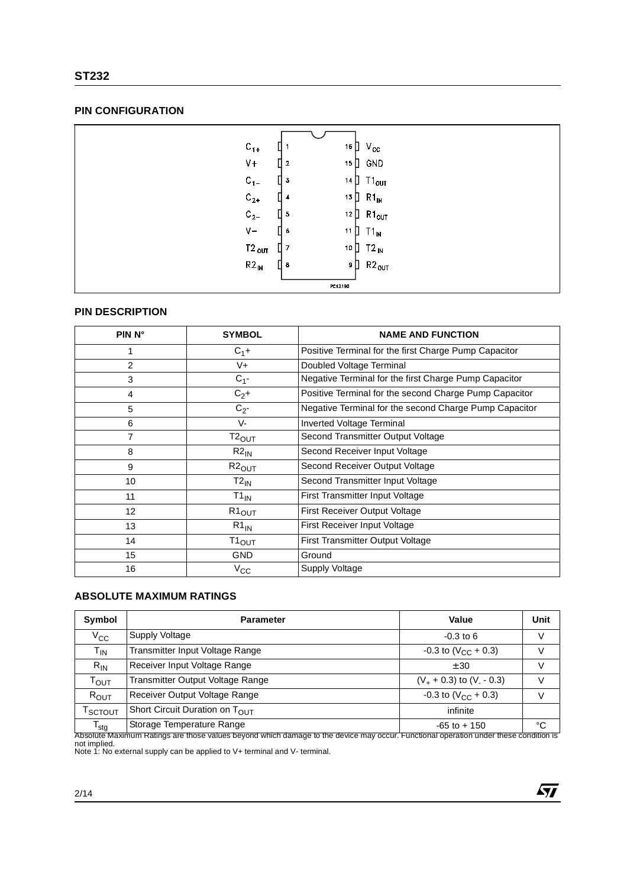#### **PIN CONFIGURATION**

| $C_{1+}$   |   |                         | 16 $\Box$   |     | $V_{\rm CC}$      |
|------------|---|-------------------------|-------------|-----|-------------------|
| $V +$      |   | $\overline{\mathbf{2}}$ | 15 $\Box$   |     | GND               |
| $C_{1-}$   |   | 3                       | $14$ $\Box$ |     | $T1_{OUT}$        |
| $C_{2+}$   |   | 4                       | $13$ $\Box$ |     | $R1_{IN}$         |
| $C_{2-}$   | ┃ | 5                       | $12$ $\Box$ |     | $R1_{OUT}$        |
| $V -$      |   | ▯<br>6                  | $11$ $\Box$ |     | $T1_{IN}$         |
| $T2_{OUT}$ |   | ÷,                      | 10 $\Box$   |     | $T2_{\text{IN}}$  |
| $R2_{IN}$  |   | 8                       |             | 9 ∏ | $R2_{\text{OUT}}$ |
|            |   |                         | PC12190     |     |                   |

#### **PIN DESCRIPTION**

| PIN <sub>N</sub> ° | <b>SYMBOL</b>     | <b>NAME AND FUNCTION</b>                               |
|--------------------|-------------------|--------------------------------------------------------|
|                    | $C_1 +$           | Positive Terminal for the first Charge Pump Capacitor  |
| 2                  | V+                | Doubled Voltage Terminal                               |
| 3                  | $C_{1}$ -         | Negative Terminal for the first Charge Pump Capacitor  |
| 4                  | $C_2+$            | Positive Terminal for the second Charge Pump Capacitor |
| 5                  | $C_{2}$ -         | Negative Terminal for the second Charge Pump Capacitor |
| 6                  | V-                | Inverted Voltage Terminal                              |
| 7                  | $T2_{\text{OUT}}$ | Second Transmitter Output Voltage                      |
| 8                  | $R2_{IN}$         | Second Receiver Input Voltage                          |
| 9                  | $R2_{OUT}$        | Second Receiver Output Voltage                         |
| 10                 | $T2_{IN}$         | Second Transmitter Input Voltage                       |
| 11                 | $T1_{IN}$         | First Transmitter Input Voltage                        |
| 12                 | $R1_{OUT}$        | <b>First Receiver Output Voltage</b>                   |
| 13                 | $R1_{IN}$         | First Receiver Input Voltage                           |
| 14                 | $T1_{OUT}$        | First Transmitter Output Voltage                       |
| 15                 | <b>GND</b>        | Ground                                                 |
| 16                 | $V_{\rm CC}$      | Supply Voltage                                         |

#### **ABSOLUTE MAXIMUM RATINGS**

| Symbol                      | <b>Parameter</b>                 | Value                              | Unit |
|-----------------------------|----------------------------------|------------------------------------|------|
| $V_{\rm CC}$                | Supply Voltage                   | $-0.3$ to 6                        | V    |
| $\mathsf{T}_{\mathsf{IN}}$  | Transmitter Input Voltage Range  | $-0.3$ to (V <sub>CC</sub> + 0.3)  | V    |
| $R_{IN}$                    | Receiver Input Voltage Range     | ± 30                               | V    |
| $\mathsf{T}_{\mathsf{OUT}}$ | Transmitter Output Voltage Range | $(V_{+} + 0.3)$ to $(V_{-} - 0.3)$ |      |
| $R_{OUT}$                   | Receiver Output Voltage Range    | $-0.3$ to (V <sub>CC</sub> + 0.3)  | V    |
| Т $_{\rm SCTOUT}$           | Short Circuit Duration on TOUT   | infinite                           |      |
| $\mathsf{T}_{\textsf{stg}}$ | Storage Temperature Range        | $-65$ to $+150$                    | °C   |

Absolute Maximum Ratings are those values beyond which damage to the device may occur. Functional operation under these condition is<br>not implied.<br>Note 1: No external supply can be applied to V+ terminal and V- terminal.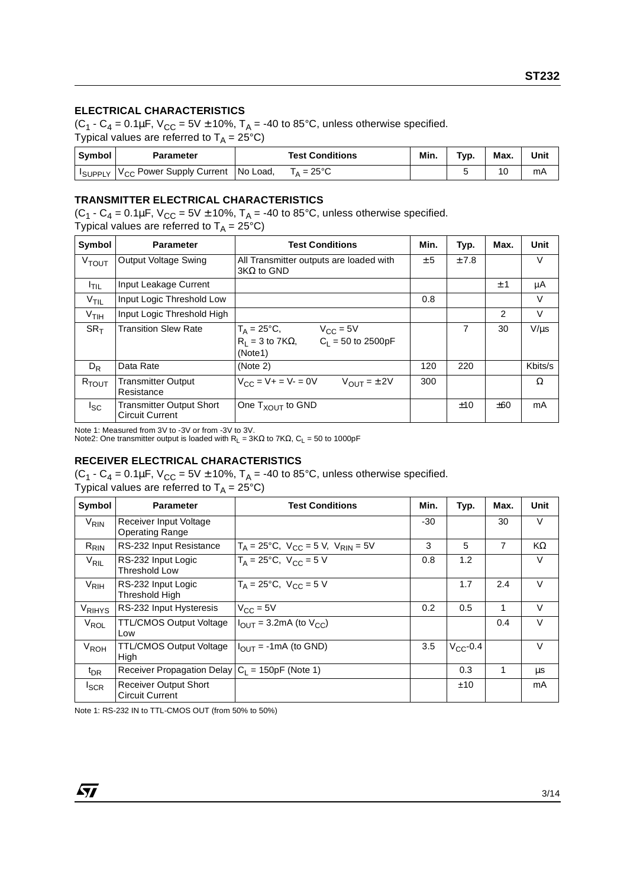#### **ELECTRICAL CHARACTERISTICS**

 $(C_1 - C_4 = 0.1 \mu F, V_{CC} = 5V \pm 10\%, T_A = -40 \text{ to } 85^{\circ}\text{C}, \text{ unless otherwise specified.}$ Typical values are referred to  $T_A = 25^{\circ}C$ )

| Symbol        | Parameter                                  | <b>Test Conditions</b> | Min. | Typ. | Max. | Unit |
|---------------|--------------------------------------------|------------------------|------|------|------|------|
| <b>SUPPLY</b> | $ V_{CC} $ Power Supply Current   No Load, | $T_A = 25^{\circ}C$    |      |      |      | mA   |

#### **TRANSMITTER ELECTRICAL CHARACTERISTICS**

 $(C_1 - C_4 = 0.1 \mu F$ ,  $V_{CC} = 5V \pm 10\%$ ,  $T_A = -40$  to 85°C, unless otherwise specified.

Typical values are referred to  $T_A = 25^{\circ}C$ )

| Symbol              | <b>Parameter</b>                                   | <b>Test Conditions</b>                                                                                 | Min. | Typ. | Max.          | Unit      |
|---------------------|----------------------------------------------------|--------------------------------------------------------------------------------------------------------|------|------|---------------|-----------|
| $V_{\mathsf{TOUT}}$ | Output Voltage Swing                               | All Transmitter outputs are loaded with<br>$3K\Omega$ to GND                                           | ± 5  | ±7.8 |               | V         |
| $I$ TIL             | Input Leakage Current                              |                                                                                                        |      |      | ± 1           | μA        |
| $V$ TIL             | Input Logic Threshold Low                          |                                                                                                        | 0.8  |      |               | V         |
| $V$ TIH             | Input Logic Threshold High                         |                                                                                                        |      |      | $\mathcal{P}$ | V         |
| $SR_T$              | <b>Transition Slew Rate</b>                        | $T_A = 25^{\circ}C,$<br>$V_{CC}$ = 5V<br>$C_1 = 50$ to 2500pF<br>$R_1 = 3$ to 7K $\Omega$ ,<br>(Note1) |      | 7    | 30            | $V/\mu s$ |
| $D_R$               | Data Rate                                          | (Note 2)                                                                                               | 120  | 220  |               | Kbits/s   |
| R <sub>TOUT</sub>   | Transmitter Output<br>Resistance                   | $V_{CC} = V + = V - = 0V$<br>$V_{OUT} = \pm 2V$                                                        | 300  |      |               | Ω         |
| l <sub>SC</sub>     | Transmitter Output Short<br><b>Circuit Current</b> | One $T_{XOUT}$ to GND                                                                                  |      | ±10  | ±60           | mA        |

Note 1: Measured from 3V to -3V or from -3V to 3V.<br>Note2: One transmitter output is loaded with R<sub>L</sub> = 3KΩ to 7KΩ, C<sub>L</sub> = 50 to 1000pF

#### **RECEIVER ELECTRICAL CHARACTERISTICS**

 $(C_1 - C_4 = 0.1 \mu F$ ,  $V_{CC} = 5V \pm 10\%$ ,  $T_A = -40$  to 85°C, unless otherwise specified.

| Typical values are referred to $T_A = 25^{\circ}C$ ) |  |  |
|------------------------------------------------------|--|--|
|------------------------------------------------------|--|--|

| Symbol                 | <b>Parameter</b>                                       | <b>Test Conditions</b>                                | Min. | Typ.          | Max.           | Unit   |
|------------------------|--------------------------------------------------------|-------------------------------------------------------|------|---------------|----------------|--------|
| <b>V<sub>RIN</sub></b> | Receiver Input Voltage<br><b>Operating Range</b>       |                                                       | -30  |               | 30             | V      |
| $R_{\mathsf{RIN}}$     | RS-232 Input Resistance                                | $T_A = 25^{\circ}C$ , $V_{CC} = 5 V$ , $V_{RIN} = 5V$ | 3    | 5             | $\overline{7}$ | KΩ     |
| $V_{\rm RIL}$          | RS-232 Input Logic<br>Threshold Low                    | $T_A = 25^{\circ}C$ , $V_{CC} = 5 V$                  | 0.8  | 1.2           |                | V      |
| $V_{\rm RIH}$          | RS-232 Input Logic<br>Threshold High                   | $T_A = 25^{\circ}C$ , $V_{CC} = 5 V$                  |      | 1.7           | 2.4            | $\vee$ |
| V <sub>RIHYS</sub>     | RS-232 Input Hysteresis                                | $V_{CC} = 5V$                                         | 0.2  | 0.5           | 1              | $\vee$ |
| $V_{\text{ROL}}$       | <b>TTL/CMOS Output Voltage</b><br>Low                  | $I_{\text{OUT}}$ = 3.2mA (to $V_{\text{CC}}$ )        |      |               | 0.4            | $\vee$ |
| $V_{ROH}$              | TTL/CMOS Output Voltage<br><b>High</b>                 | $I_{\text{OUT}}$ = -1mA (to GND)                      | 3.5  | $V_{CC}$ -0.4 |                | $\vee$ |
| $t_{\text{DR}}$        | Receiver Propagation Delay $ C_L $ = 150pF (Note 1)    |                                                       |      | 0.3           |                | μs     |
| <b>I</b> SCR           | <b>Receiver Output Short</b><br><b>Circuit Current</b> |                                                       |      | ±10           |                | mA     |

Note 1: RS-232 IN to TTL-CMOS OUT (from 50% to 50%)

*ST*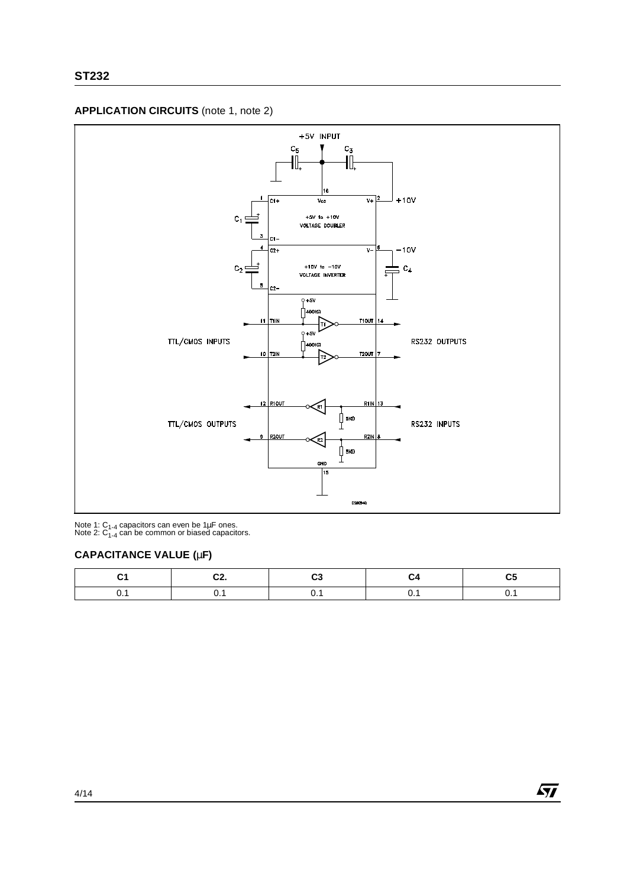



Note 1: C<sub>1-4</sub> capacitors can even be 1µF ones.<br>Note 2: C<sub>1-4</sub> can be common or biased capacitors.

#### **CAPACITANCE VALUE (**µ**F)**

| -<br>uz. |  |  |
|----------|--|--|
|          |  |  |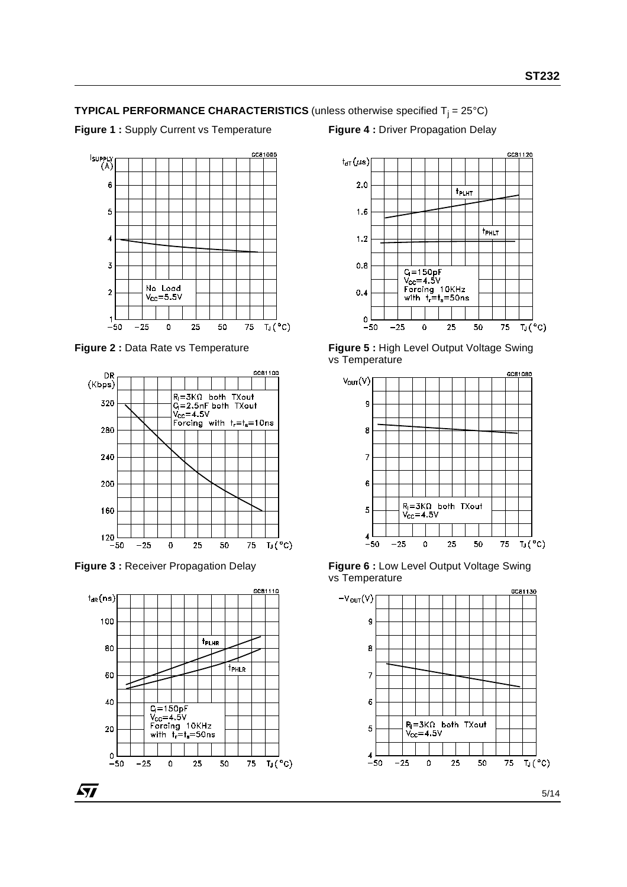#### **TYPICAL PERFORMANCE CHARACTERISTICS** (unless otherwise specified  $T_i = 25^{\circ}C$ )

**Figure 1 :** Supply Current vs Temperature

#### **Figure 4 :** Driver Propagation Delay



**Figure 2 :** Data Rate vs Temperature



**Figure 3 :** Receiver Propagation Delay





**Figure 5 :** High Level Output Voltage Swing vs Temperature



**Figure 6 :** Low Level Output Voltage Swing vs Temperature

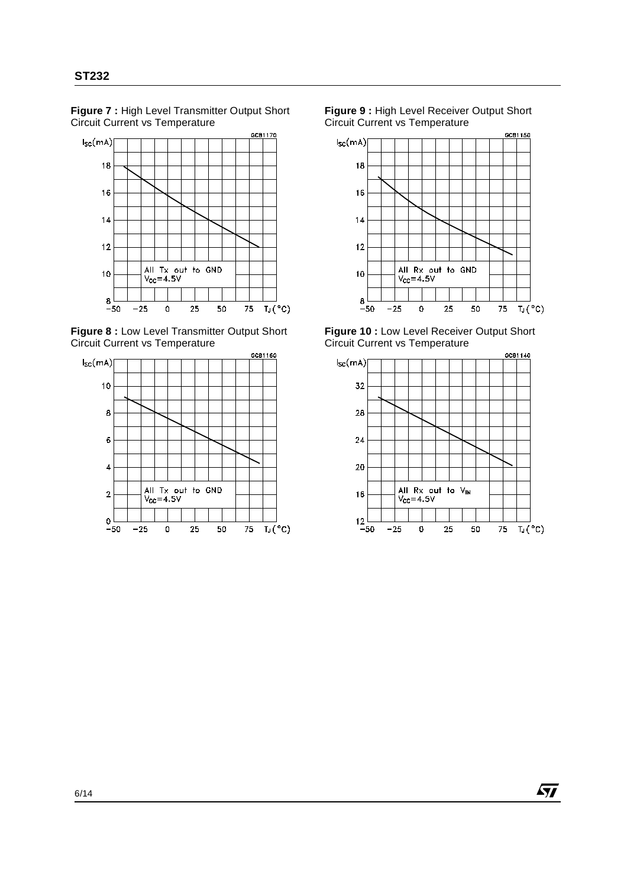**Figure 7 :** High Level Transmitter Output Short Circuit Current vs Temperature



**Figure 8 :** Low Level Transmitter Output Short Circuit Current vs Temperature



**Figure 9 :** High Level Receiver Output Short Circuit Current vs Temperature



**Figure 10 :** Low Level Receiver Output Short Circuit Current vs Temperature



57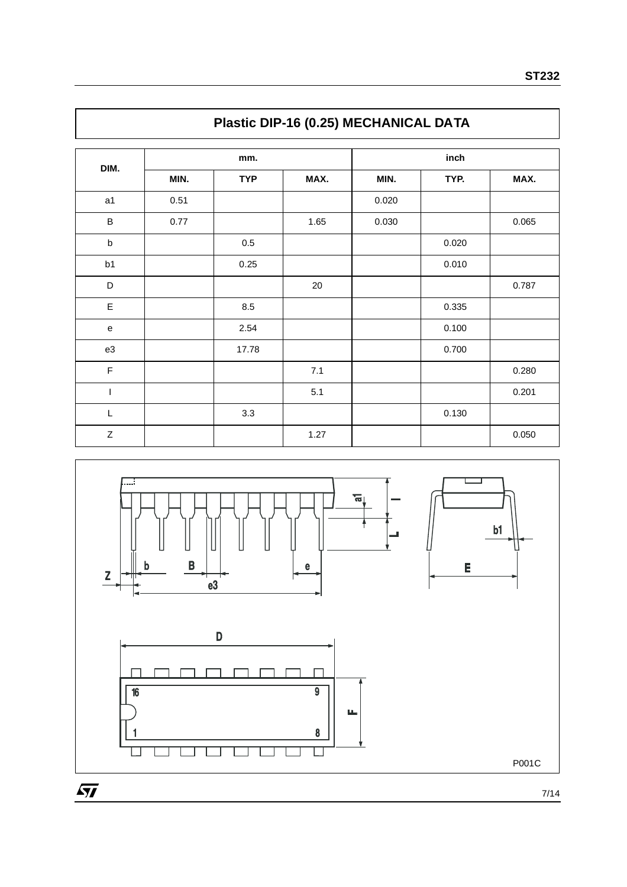|             | - - - -- |            |       |       |       |       |  |  |  |
|-------------|----------|------------|-------|-------|-------|-------|--|--|--|
|             |          | mm.        |       | inch  |       |       |  |  |  |
| DIM.        | MIN.     | <b>TYP</b> | MAX.  | MIN.  | TYP.  | MAX.  |  |  |  |
| a1          | 0.51     |            |       | 0.020 |       |       |  |  |  |
| $\sf B$     | 0.77     |            | 1.65  | 0.030 |       | 0.065 |  |  |  |
| $\sf b$     |          | $0.5\,$    |       |       | 0.020 |       |  |  |  |
| b1          |          | 0.25       |       |       | 0.010 |       |  |  |  |
| D           |          |            | 20    |       |       | 0.787 |  |  |  |
| E           |          | 8.5        |       |       | 0.335 |       |  |  |  |
| ${\bf e}$   |          | 2.54       |       |       | 0.100 |       |  |  |  |
| e3          |          | 17.78      |       |       | 0.700 |       |  |  |  |
| $\mathsf F$ |          |            | $7.1$ |       |       | 0.280 |  |  |  |
| I           |          |            | 5.1   |       |       | 0.201 |  |  |  |
| L           |          | 3.3        |       |       | 0.130 |       |  |  |  |
| $\mathsf Z$ |          |            | 1.27  |       |       | 0.050 |  |  |  |



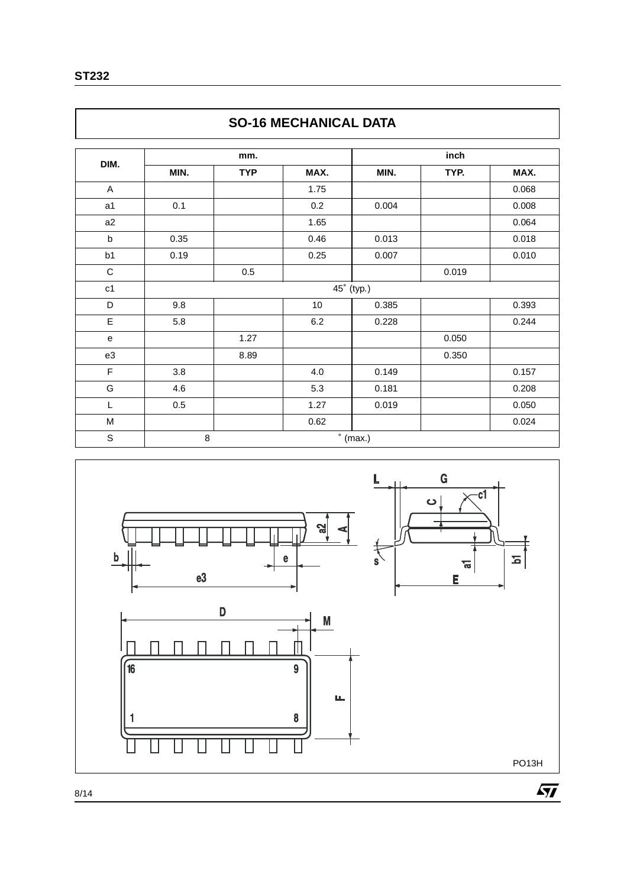| M<br>٧<br>۰. |
|--------------|
|--------------|

Г

|                | <b>SO-16 MECHANICAL DATA</b> |            |         |                  |       |       |  |  |
|----------------|------------------------------|------------|---------|------------------|-------|-------|--|--|
|                |                              | mm.        |         |                  | inch  |       |  |  |
| DIM.           | MIN.                         | <b>TYP</b> | MAX.    | MIN.             | TYP.  | MAX.  |  |  |
| A              |                              |            | 1.75    |                  |       | 0.068 |  |  |
| a <sub>1</sub> | 0.1                          |            | 0.2     | 0.004            |       | 0.008 |  |  |
| a2             |                              |            | 1.65    |                  |       | 0.064 |  |  |
| b              | 0.35                         |            | 0.46    | 0.013            |       | 0.018 |  |  |
| b1             | 0.19                         |            | 0.25    | 0.007            |       | 0.010 |  |  |
| C              |                              | 0.5        |         |                  | 0.019 |       |  |  |
| c1             |                              |            |         | 45° (typ.)       |       |       |  |  |
| D              | 9.8                          |            | $10$    | 0.385            |       | 0.393 |  |  |
| E              | 5.8                          |            | $6.2\,$ | 0.228            |       | 0.244 |  |  |
| e              |                              | 1.27       |         |                  | 0.050 |       |  |  |
| e3             |                              | 8.89       |         |                  | 0.350 |       |  |  |
| F              | 3.8                          |            | 4.0     | 0.149            |       | 0.157 |  |  |
| G              | 4.6                          |            | 5.3     | 0.181            |       | 0.208 |  |  |
| L              | 0.5                          |            | 1.27    | 0.019            |       | 0.050 |  |  |
| M              |                              |            | 0.62    |                  |       | 0.024 |  |  |
| S              | 8                            |            |         | $\degree$ (max.) |       |       |  |  |



### **SO-16 MECHANICAL DATA**

٦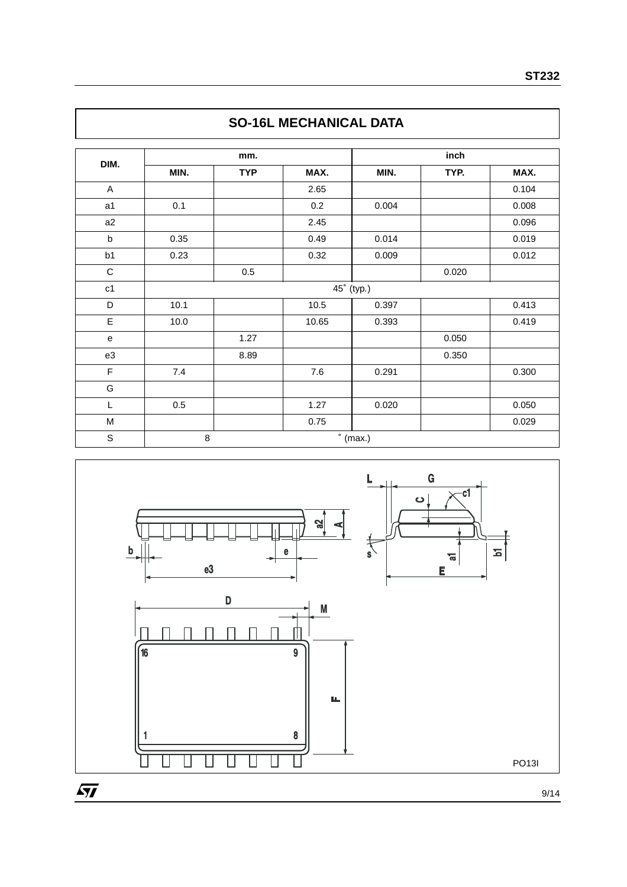| DIM.           | mm.                         |            |       | inch  |       |       |  |
|----------------|-----------------------------|------------|-------|-------|-------|-------|--|
|                | MIN.                        | <b>TYP</b> | MAX.  | MIN.  | TYP.  | MAX.  |  |
| A              |                             |            | 2.65  |       |       | 0.104 |  |
| a <sub>1</sub> | 0.1                         |            | 0.2   | 0.004 |       | 0.008 |  |
| a2             |                             |            | 2.45  |       |       | 0.096 |  |
| b              | 0.35                        |            | 0.49  | 0.014 |       | 0.019 |  |
| b <sub>1</sub> | 0.23                        |            | 0.32  | 0.009 |       | 0.012 |  |
| $\mathsf C$    |                             | $0.5\,$    |       |       | 0.020 |       |  |
| c1             | 45° (typ.)                  |            |       |       |       |       |  |
| D              | 10.1                        |            | 10.5  | 0.397 |       | 0.413 |  |
| E              | 10.0                        |            | 10.65 | 0.393 |       | 0.419 |  |
| e              |                             | 1.27       |       |       | 0.050 |       |  |
| e3             |                             | 8.89       |       |       | 0.350 |       |  |
| F              | 7.4                         |            | 7.6   | 0.291 |       | 0.300 |  |
| G              |                             |            |       |       |       |       |  |
| L              | $0.5\,$                     |            | 1.27  | 0.020 |       | 0.050 |  |
| M              |                             |            | 0.75  |       |       | 0.029 |  |
| $\mathbb S$    | $\degree$ (max.)<br>$\,8\,$ |            |       |       |       |       |  |



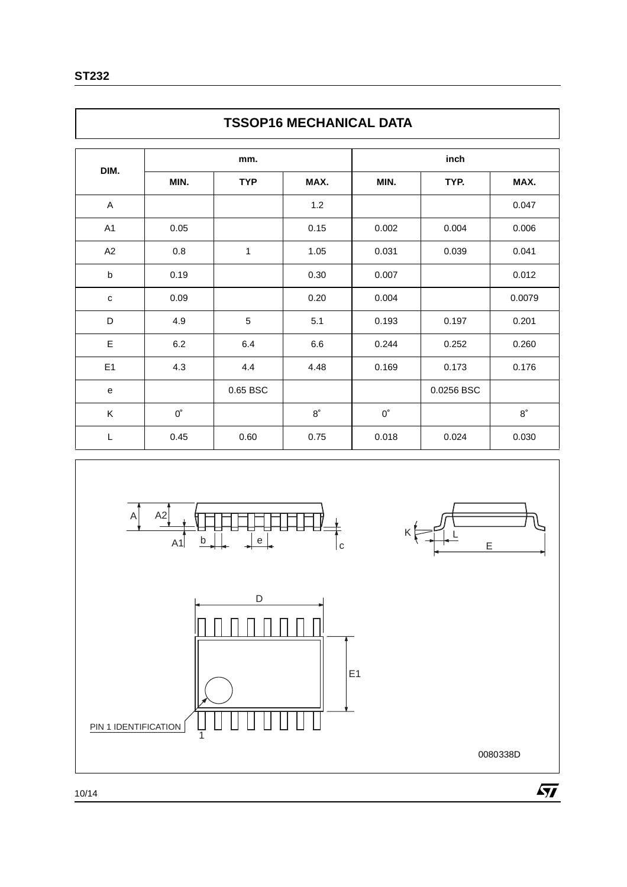|             | <b>TSSOP16 MECHANICAL DATA</b> |            |             |             |            |             |  |  |
|-------------|--------------------------------|------------|-------------|-------------|------------|-------------|--|--|
| DIM.        | mm.                            |            |             | inch        |            |             |  |  |
|             | MIN.                           | <b>TYP</b> | MAX.        | MIN.        | TYP.       | MAX.        |  |  |
| A           |                                |            | 1.2         |             |            | 0.047       |  |  |
| A1          | 0.05                           |            | 0.15        | 0.002       | 0.004      | 0.006       |  |  |
| A2          | 0.8                            | 1          | 1.05        | 0.031       | 0.039      | 0.041       |  |  |
| $\mathbf b$ | 0.19                           |            | 0.30        | 0.007       |            | 0.012       |  |  |
| $\mathbf C$ | 0.09                           |            | 0.20        | 0.004       |            | 0.0079      |  |  |
| D           | 4.9                            | 5          | 5.1         | 0.193       | 0.197      | 0.201       |  |  |
| Ε           | 6.2                            | 6.4        | 6.6         | 0.244       | 0.252      | 0.260       |  |  |
| E1          | 4.3                            | 4.4        | 4.48        | 0.169       | 0.173      | 0.176       |  |  |
| e           |                                | 0.65 BSC   |             |             | 0.0256 BSC |             |  |  |
| Κ           | $0^{\circ}$                    |            | $8^{\circ}$ | $0^{\circ}$ |            | $8^{\circ}$ |  |  |
| L           | 0.45                           | 0.60       | 0.75        | 0.018       | 0.024      | 0.030       |  |  |



0080338D

10/14

PIN 1 IDENTIFICATION

 $\frac{1}{1}$ 

 $\sqrt{M}$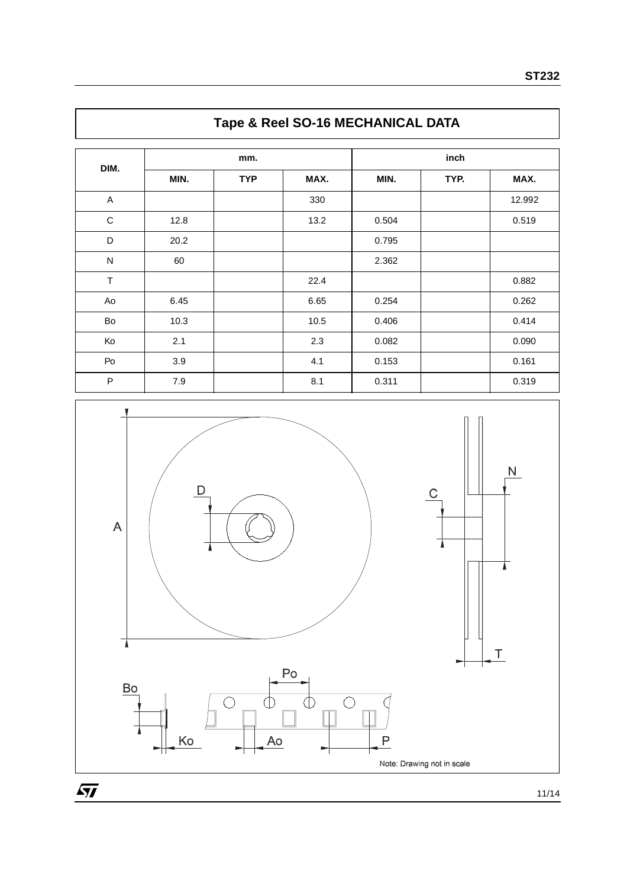| DIM.                    | mm.  |            |      | inch  |      |        |
|-------------------------|------|------------|------|-------|------|--------|
|                         | MIN. | <b>TYP</b> | MAX. | MIN.  | TYP. | MAX.   |
| $\mathsf{A}$            |      |            | 330  |       |      | 12.992 |
| $\mathbf C$             | 12.8 |            | 13.2 | 0.504 |      | 0.519  |
| D                       | 20.2 |            |      | 0.795 |      |        |
| $\overline{\mathsf{N}}$ | 60   |            |      | 2.362 |      |        |
| $\top$                  |      |            | 22.4 |       |      | 0.882  |
| Ao                      | 6.45 |            | 6.65 | 0.254 |      | 0.262  |
| Bo                      | 10.3 |            | 10.5 | 0.406 |      | 0.414  |
| Ko                      | 2.1  |            | 2.3  | 0.082 |      | 0.090  |
| Po                      | 3.9  |            | 4.1  | 0.153 |      | 0.161  |
| $\mathsf{P}$            | 7.9  |            | 8.1  | 0.311 |      | 0.319  |
|                         |      |            |      |       |      |        |

## **Tape & Reel SO-16 MECHANICAL DATA**



11/14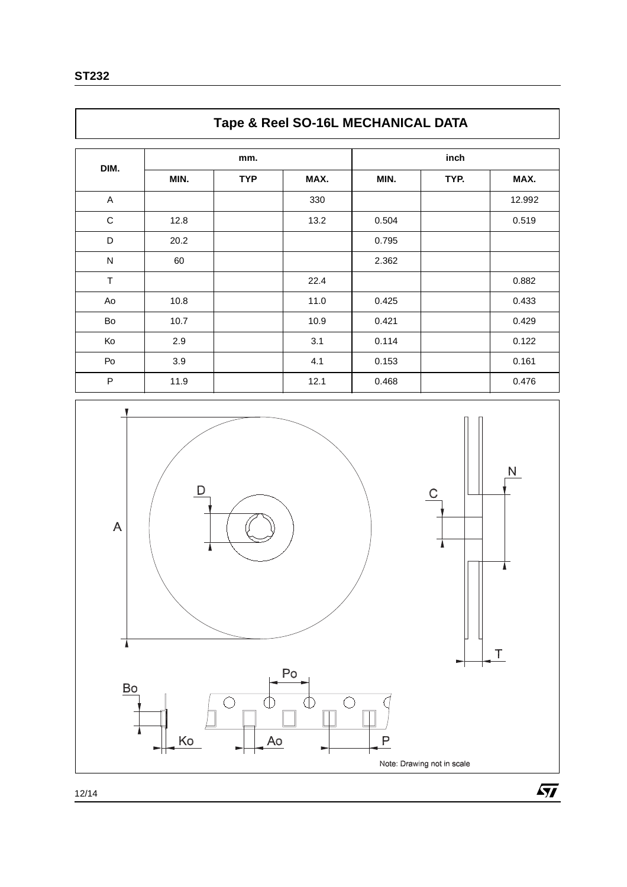|           | Tape & Reel SO-16L MECHANICAL DATA |            |      |       |      |        |  |  |
|-----------|------------------------------------|------------|------|-------|------|--------|--|--|
|           | mm.                                |            |      | inch  |      |        |  |  |
| DIM.      | MIN.                               | <b>TYP</b> | MAX. | MIN.  | TYP. | MAX.   |  |  |
| A         |                                    |            | 330  |       |      | 12.992 |  |  |
| C         | 12.8                               |            | 13.2 | 0.504 |      | 0.519  |  |  |
| D         | 20.2                               |            |      | 0.795 |      |        |  |  |
| ${\sf N}$ | 60                                 |            |      | 2.362 |      |        |  |  |
| T         |                                    |            | 22.4 |       |      | 0.882  |  |  |
| Ao        | 10.8                               |            | 11.0 | 0.425 |      | 0.433  |  |  |
| Bo        | 10.7                               |            | 10.9 | 0.421 |      | 0.429  |  |  |
| Ko        | 2.9                                |            | 3.1  | 0.114 |      | 0.122  |  |  |
| Po        | 3.9                                |            | 4.1  | 0.153 |      | 0.161  |  |  |
| P         | 11.9                               |            | 12.1 | 0.468 |      | 0.476  |  |  |





**ST232**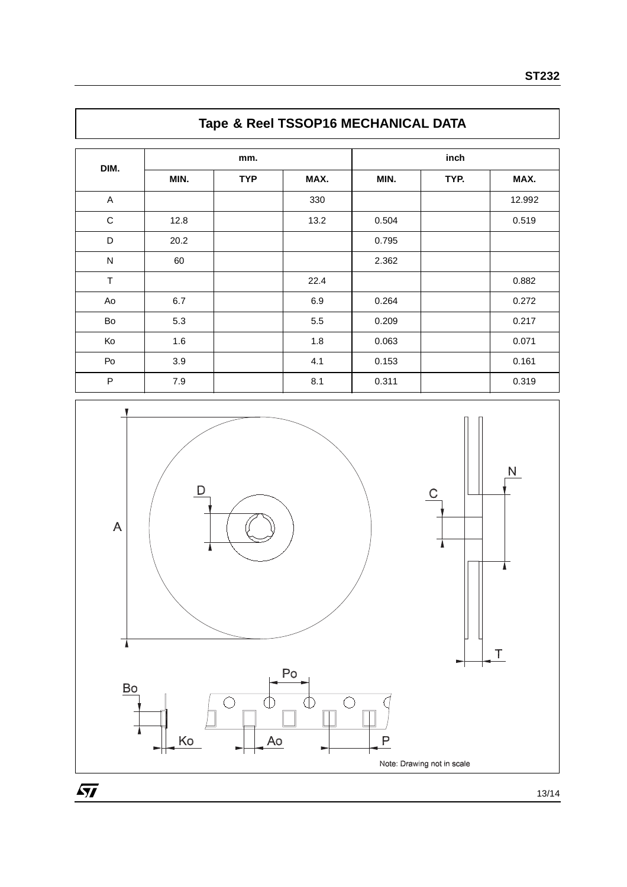| DIM.         | mm.  |            |      | inch  |      |        |
|--------------|------|------------|------|-------|------|--------|
|              | MIN. | <b>TYP</b> | MAX. | MIN.  | TYP. | MAX.   |
| A            |      |            | 330  |       |      | 12.992 |
| $\mathsf C$  | 12.8 |            | 13.2 | 0.504 |      | 0.519  |
| D            | 20.2 |            |      | 0.795 |      |        |
| $\mathsf{N}$ | 60   |            |      | 2.362 |      |        |
| $\top$       |      |            | 22.4 |       |      | 0.882  |
| Ao           | 6.7  |            | 6.9  | 0.264 |      | 0.272  |
| Bo           | 5.3  |            | 5.5  | 0.209 |      | 0.217  |
| Ko           | 1.6  |            | 1.8  | 0.063 |      | 0.071  |
| Po           | 3.9  |            | 4.1  | 0.153 |      | 0.161  |
| $\sf P$      | 7.9  |            | 8.1  | 0.311 |      | 0.319  |
|              |      |            |      |       |      |        |

# **Tape & Reel TSSOP16 MECHANICAL DATA**



13/14